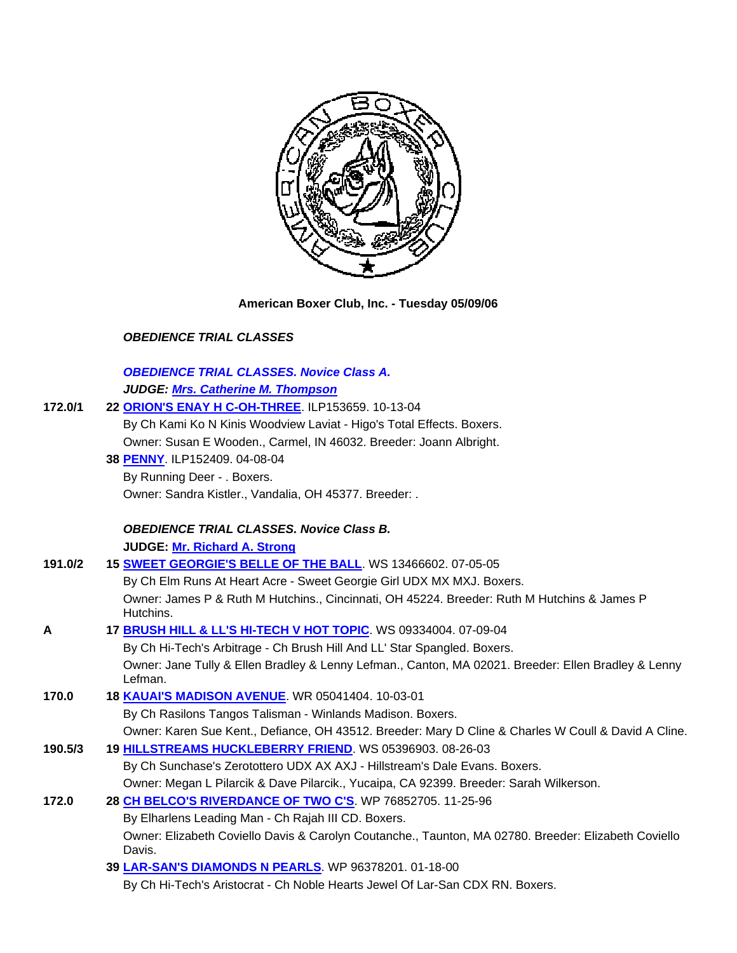

**American Boxer Club, Inc. - Tuesday 05/09/06** 

# *OBEDIENCE TRIAL CLASSES*

# *OBEDIENCE TRIAL CLASSES. Novice Class A. JUDGE: Mrs. Catherine M. Thompson*

| 172.0/1 | 22 ORION'S ENAY H C-OH-THREE. ILP153659. 10-13-04                                                              |
|---------|----------------------------------------------------------------------------------------------------------------|
|         | By Ch Kami Ko N Kinis Woodview Laviat - Higo's Total Effects. Boxers.                                          |
|         | Owner: Susan E Wooden., Carmel, IN 46032. Breeder: Joann Albright.                                             |
|         | 38 PENNY. ILP152409. 04-08-04                                                                                  |
|         | By Running Deer - . Boxers.                                                                                    |
|         | Owner: Sandra Kistler., Vandalia, OH 45377. Breeder: .                                                         |
|         | <b>OBEDIENCE TRIAL CLASSES. Novice Class B.</b>                                                                |
|         | JUDGE: Mr. Richard A. Strong                                                                                   |
| 191.0/2 | 15 SWEET GEORGIE'S BELLE OF THE BALL. WS 13466602. 07-05-05                                                    |
|         | By Ch Elm Runs At Heart Acre - Sweet Georgie Girl UDX MX MXJ. Boxers.                                          |
|         | Owner: James P & Ruth M Hutchins., Cincinnati, OH 45224. Breeder: Ruth M Hutchins & James P<br>Hutchins.       |
| Α       | 17 BRUSH HILL & LL'S HI-TECH V HOT TOPIC WS 09334004.07-09-04                                                  |
|         | By Ch Hi-Tech's Arbitrage - Ch Brush Hill And LL' Star Spangled. Boxers.                                       |
|         | Owner: Jane Tully & Ellen Bradley & Lenny Lefman., Canton, MA 02021. Breeder: Ellen Bradley & Lenny<br>Lefman. |
| 170.0   | 18 <b>KAUAI'S MADISON AVENUE.</b> WR 05041404. 10-03-01                                                        |
|         | By Ch Rasilons Tangos Talisman - Winlands Madison. Boxers.                                                     |
|         | Owner: Karen Sue Kent., Defiance, OH 43512. Breeder: Mary D Cline & Charles W Coull & David A Cline.           |
| 190.5/3 | 19 HILLSTREAMS HUCKLEBERRY FRIEND. WS 05396903. 08-26-03                                                       |
|         | By Ch Sunchase's Zerotottero UDX AX AXJ - Hillstream's Dale Evans. Boxers.                                     |
|         | Owner: Megan L Pilarcik & Dave Pilarcik., Yucaipa, CA 92399. Breeder: Sarah Wilkerson.                         |
| 172.0   | 28 CH BELCO'S RIVERDANCE OF TWO C'S. WP 76852705. 11-25-96                                                     |
|         | By Elharlens Leading Man - Ch Rajah III CD. Boxers.                                                            |
|         | Owner: Elizabeth Coviello Davis & Carolyn Coutanche., Taunton, MA 02780. Breeder: Elizabeth Coviello<br>Davis. |
|         | 39 LAR-SAN'S DIAMONDS N PEARLS. WP 96378201. 01-18-00                                                          |
|         | By Ch Hi-Tech's Aristocrat - Ch Noble Hearts Jewel Of Lar-San CDX RN. Boxers.                                  |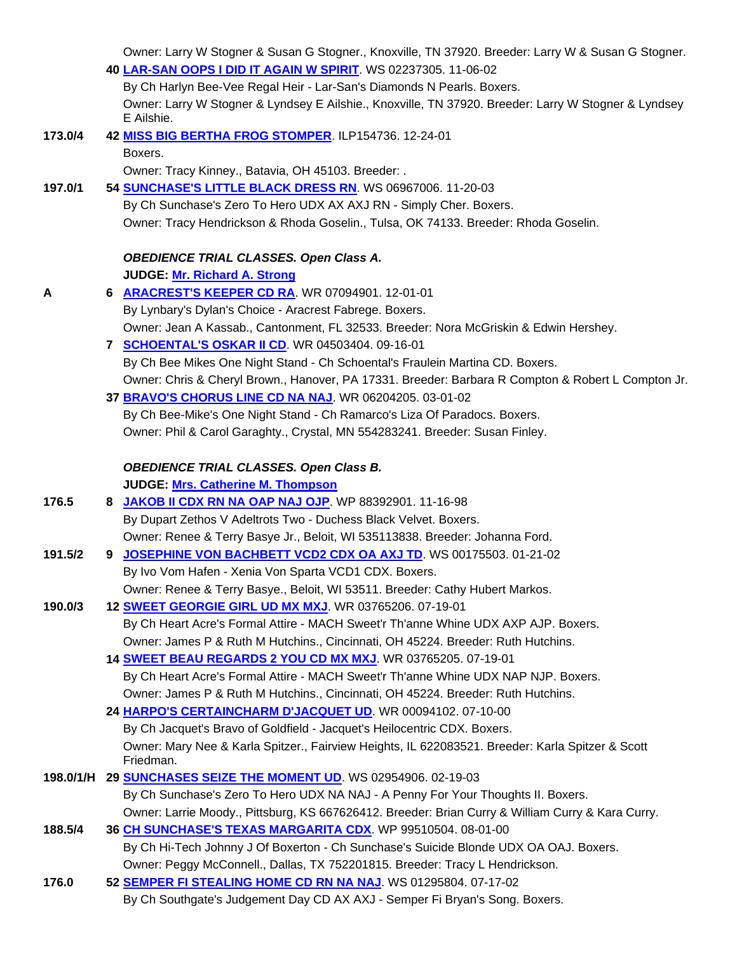|         | Owner: Larry W Stogner & Susan G Stogner., Knoxville, TN 37920. Breeder: Larry W & Susan G Stogner.<br>40 LAR-SAN OOPS I DID IT AGAIN W SPIRIT. WS 02237305. 11-06-02 |
|---------|-----------------------------------------------------------------------------------------------------------------------------------------------------------------------|
|         | By Ch Harlyn Bee-Vee Regal Heir - Lar-San's Diamonds N Pearls. Boxers.                                                                                                |
|         | Owner: Larry W Stogner & Lyndsey E Ailshie., Knoxville, TN 37920. Breeder: Larry W Stogner & Lyndsey<br>E Ailshie.                                                    |
| 173.0/4 | 42 MISS BIG BERTHA FROG STOMPER. ILP154736. 12-24-01                                                                                                                  |
|         | Boxers.                                                                                                                                                               |
|         | Owner: Tracy Kinney., Batavia, OH 45103. Breeder: .                                                                                                                   |
| 197.0/1 | 54 SUNCHASE'S LITTLE BLACK DRESS RN. WS 06967006. 11-20-03                                                                                                            |
|         | By Ch Sunchase's Zero To Hero UDX AX AXJ RN - Simply Cher. Boxers.                                                                                                    |
|         | Owner: Tracy Hendrickson & Rhoda Goselin., Tulsa, OK 74133. Breeder: Rhoda Goselin.                                                                                   |
|         | <b>OBEDIENCE TRIAL CLASSES. Open Class A.</b>                                                                                                                         |
|         | JUDGE: Mr. Richard A. Strong                                                                                                                                          |
| Α       | 6 ARACREST'S KEEPER CD RA. WR 07094901. 12-01-01                                                                                                                      |
|         | By Lynbary's Dylan's Choice - Aracrest Fabrege. Boxers.                                                                                                               |
|         | Owner: Jean A Kassab., Cantonment, FL 32533. Breeder: Nora McGriskin & Edwin Hershey.                                                                                 |
|         | 7 SCHOENTAL'S OSKAR II CD. WR 04503404. 09-16-01                                                                                                                      |
|         | By Ch Bee Mikes One Night Stand - Ch Schoental's Fraulein Martina CD. Boxers.                                                                                         |
|         | Owner: Chris & Cheryl Brown., Hanover, PA 17331. Breeder: Barbara R Compton & Robert L Compton Jr.                                                                    |
|         | 37 BRAVO'S CHORUS LINE CD NA NAJ. WR 06204205. 03-01-02                                                                                                               |
|         | By Ch Bee-Mike's One Night Stand - Ch Ramarco's Liza Of Paradocs. Boxers.                                                                                             |
|         | Owner: Phil & Carol Garaghty., Crystal, MN 554283241. Breeder: Susan Finley.                                                                                          |
|         | <b>OBEDIENCE TRIAL CLASSES. Open Class B.</b>                                                                                                                         |
|         | JUDGE: Mrs. Catherine M. Thompson                                                                                                                                     |
| 176.5   | 8 JAKOB II CDX RN NA OAP NAJ OJP. WP 88392901. 11-16-98                                                                                                               |
|         | By Dupart Zethos V Adeltrots Two - Duchess Black Velvet. Boxers.                                                                                                      |
|         | Owner: Renee & Terry Basye Jr., Beloit, WI 535113838. Breeder: Johanna Ford.                                                                                          |
| 191.5/2 | JOSEPHINE VON BACHBETT VCD2 CDX OA AXJ TD. WS 00175503. 01-21-02<br>9                                                                                                 |
|         | By Ivo Vom Hafen - Xenia Von Sparta VCD1 CDX. Boxers.                                                                                                                 |
|         | Owner: Renee & Terry Basye., Beloit, WI 53511. Breeder: Cathy Hubert Markos.                                                                                          |
| 190.0/3 | 12 <b>SWEET GEORGIE GIRL UD MX MXJ</b> . WR 03765206. 07-19-01                                                                                                        |
|         | By Ch Heart Acre's Formal Attire - MACH Sweet'r Th'anne Whine UDX AXP AJP. Boxers.                                                                                    |
|         | Owner: James P & Ruth M Hutchins., Cincinnati, OH 45224. Breeder: Ruth Hutchins.                                                                                      |
|         | 14 SWEET BEAU REGARDS 2 YOU CD MX MXJ. WR 03765205. 07-19-01                                                                                                          |
|         | By Ch Heart Acre's Formal Attire - MACH Sweet'r Th'anne Whine UDX NAP NJP. Boxers.                                                                                    |
|         | Owner: James P & Ruth M Hutchins., Cincinnati, OH 45224. Breeder: Ruth Hutchins.                                                                                      |
|         | 24 HARPO'S CERTAINCHARM D'JACQUET UD. WR 00094102. 07-10-00                                                                                                           |
|         | By Ch Jacquet's Bravo of Goldfield - Jacquet's Heilocentric CDX. Boxers.                                                                                              |
|         | Owner: Mary Nee & Karla Spitzer., Fairview Heights, IL 622083521. Breeder: Karla Spitzer & Scott                                                                      |
|         | Friedman.                                                                                                                                                             |
|         | 198.0/1/H  29 SUNCHASES SEIZE THE MOMENT UD. WS 02954906. 02-19-03                                                                                                    |
|         | By Ch Sunchase's Zero To Hero UDX NA NAJ - A Penny For Your Thoughts II. Boxers.                                                                                      |
|         | Owner: Larrie Moody., Pittsburg, KS 667626412. Breeder: Brian Curry & William Curry & Kara Curry.                                                                     |
| 188.5/4 | 36 CH SUNCHASE'S TEXAS MARGARITA CDX. WP 99510504. 08-01-00                                                                                                           |
|         | By Ch Hi-Tech Johnny J Of Boxerton - Ch Sunchase's Suicide Blonde UDX OA OAJ. Boxers.                                                                                 |
|         | Owner: Peggy McConnell., Dallas, TX 752201815. Breeder: Tracy L Hendrickson.                                                                                          |
| 176.0   | 52 SEMPER FI STEALING HOME CD RN NA NAJ. WS 01295804. 07-17-02                                                                                                        |
|         | By Ch Southgate's Judgement Day CD AX AXJ - Semper Fi Bryan's Song. Boxers.                                                                                           |
|         |                                                                                                                                                                       |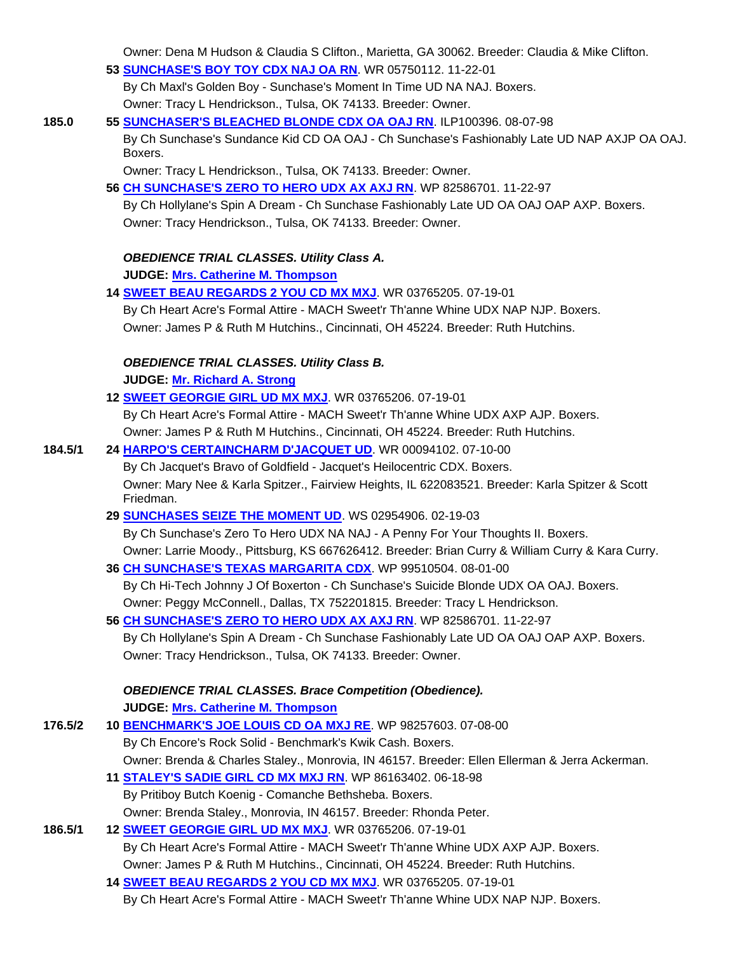Owner: Dena M Hudson & Claudia S Clifton., Marietta, GA 30062. Breeder: Claudia & Mike Clifton.

#### **53 SUNCHASE'S BOY TOY CDX NAJ OA RN**. WR 05750112. 11-22-01

 By Ch Maxl's Golden Boy - Sunchase's Moment In Time UD NA NAJ. Boxers. Owner: Tracy L Hendrickson., Tulsa, OK 74133. Breeder: Owner.

# **185.0 55 SUNCHASER'S BLEACHED BLONDE CDX OA OAJ RN**. ILP100396. 08-07-98

 By Ch Sunchase's Sundance Kid CD OA OAJ - Ch Sunchase's Fashionably Late UD NAP AXJP OA OAJ. Boxers.

Owner: Tracy L Hendrickson., Tulsa, OK 74133. Breeder: Owner.

# **56 CH SUNCHASE'S ZERO TO HERO UDX AX AXJ RN**. WP 82586701. 11-22-97

 By Ch Hollylane's Spin A Dream - Ch Sunchase Fashionably Late UD OA OAJ OAP AXP. Boxers. Owner: Tracy Hendrickson., Tulsa, OK 74133. Breeder: Owner.

# *OBEDIENCE TRIAL CLASSES. Utility Class A.*

**JUDGE: Mrs. Catherine M. Thompson** 

 **14 SWEET BEAU REGARDS 2 YOU CD MX MXJ**. WR 03765205. 07-19-01 By Ch Heart Acre's Formal Attire - MACH Sweet'r Th'anne Whine UDX NAP NJP. Boxers. Owner: James P & Ruth M Hutchins., Cincinnati, OH 45224. Breeder: Ruth Hutchins.

# *OBEDIENCE TRIAL CLASSES. Utility Class B.*

**JUDGE: Mr. Richard A. Strong** 

# **12 SWEET GEORGIE GIRL UD MX MXJ**. WR 03765206. 07-19-01 By Ch Heart Acre's Formal Attire - MACH Sweet'r Th'anne Whine UDX AXP AJP. Boxers. Owner: James P & Ruth M Hutchins., Cincinnati, OH 45224. Breeder: Ruth Hutchins.

# **184.5/1 24 HARPO'S CERTAINCHARM D'JACQUET UD**. WR 00094102. 07-10-00

 By Ch Jacquet's Bravo of Goldfield - Jacquet's Heilocentric CDX. Boxers. Owner: Mary Nee & Karla Spitzer., Fairview Heights, IL 622083521. Breeder: Karla Spitzer & Scott Friedman.

#### **29 SUNCHASES SEIZE THE MOMENT UD**. WS 02954906. 02-19-03

 By Ch Sunchase's Zero To Hero UDX NA NAJ - A Penny For Your Thoughts II. Boxers. Owner: Larrie Moody., Pittsburg, KS 667626412. Breeder: Brian Curry & William Curry & Kara Curry.

#### **36 CH SUNCHASE'S TEXAS MARGARITA CDX**. WP 99510504. 08-01-00

 By Ch Hi-Tech Johnny J Of Boxerton - Ch Sunchase's Suicide Blonde UDX OA OAJ. Boxers. Owner: Peggy McConnell., Dallas, TX 752201815. Breeder: Tracy L Hendrickson.

 **56 CH SUNCHASE'S ZERO TO HERO UDX AX AXJ RN**. WP 82586701. 11-22-97 By Ch Hollylane's Spin A Dream - Ch Sunchase Fashionably Late UD OA OAJ OAP AXP. Boxers. Owner: Tracy Hendrickson., Tulsa, OK 74133. Breeder: Owner.

# *OBEDIENCE TRIAL CLASSES. Brace Competition (Obedience).*

**JUDGE: Mrs. Catherine M. Thompson** 

| 176.5/2 | 10 BENCHMARK'S JOE LOUIS CD OA MXJ RE. WP 98257603. 07-08-00                                   |
|---------|------------------------------------------------------------------------------------------------|
|         | By Ch Encore's Rock Solid - Benchmark's Kwik Cash. Boxers.                                     |
|         | Owner: Brenda & Charles Staley., Monrovia, IN 46157. Breeder: Ellen Ellerman & Jerra Ackerman. |
|         | 11 STALEY'S SADIE GIRL CD MX MXJ RN. WP 86163402. 06-18-98                                     |
|         | By Pritiboy Butch Koenig - Comanche Bethsheba. Boxers.                                         |
|         | Owner: Brenda Staley., Monrovia, IN 46157. Breeder: Rhonda Peter.                              |
| 186.5/1 | 12 SWEET GEORGIE GIRL UD MX MXJ. WR 03765206. 07-19-01                                         |

# By Ch Heart Acre's Formal Attire - MACH Sweet'r Th'anne Whine UDX AXP AJP. Boxers.

Owner: James P & Ruth M Hutchins., Cincinnati, OH 45224. Breeder: Ruth Hutchins.

**14 SWEET BEAU REGARDS 2 YOU CD MX MXJ**. WR 03765205. 07-19-01

By Ch Heart Acre's Formal Attire - MACH Sweet'r Th'anne Whine UDX NAP NJP. Boxers.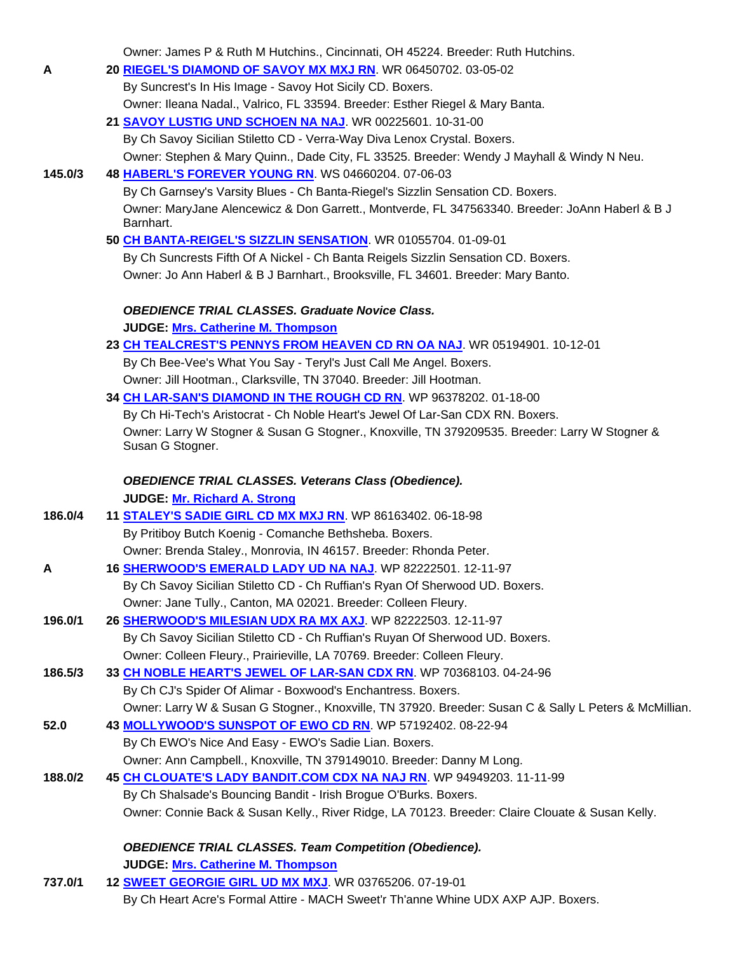Owner: James P & Ruth M Hutchins., Cincinnati, OH 45224. Breeder: Ruth Hutchins.

| A       | 20 RIEGEL'S DIAMOND OF SAVOY MX MXJ RN. WR 06450702. 03-05-02                                                                                                                                                                                                                                                                                                                                                                     |
|---------|-----------------------------------------------------------------------------------------------------------------------------------------------------------------------------------------------------------------------------------------------------------------------------------------------------------------------------------------------------------------------------------------------------------------------------------|
|         | By Suncrest's In His Image - Savoy Hot Sicily CD. Boxers.                                                                                                                                                                                                                                                                                                                                                                         |
|         | Owner: Ileana Nadal., Valrico, FL 33594. Breeder: Esther Riegel & Mary Banta.                                                                                                                                                                                                                                                                                                                                                     |
|         | 21 SAVOY LUSTIG UND SCHOEN NA NAJ. WR 00225601. 10-31-00                                                                                                                                                                                                                                                                                                                                                                          |
|         | By Ch Savoy Sicilian Stiletto CD - Verra-Way Diva Lenox Crystal. Boxers.                                                                                                                                                                                                                                                                                                                                                          |
|         | Owner: Stephen & Mary Quinn., Dade City, FL 33525. Breeder: Wendy J Mayhall & Windy N Neu.                                                                                                                                                                                                                                                                                                                                        |
| 145.0/3 | 48 HABERL'S FOREVER YOUNG RN. WS 04660204. 07-06-03                                                                                                                                                                                                                                                                                                                                                                               |
|         | By Ch Garnsey's Varsity Blues - Ch Banta-Riegel's Sizzlin Sensation CD. Boxers.                                                                                                                                                                                                                                                                                                                                                   |
|         | Owner: MaryJane Alencewicz & Don Garrett., Montverde, FL 347563340. Breeder: JoAnn Haberl & B J                                                                                                                                                                                                                                                                                                                                   |
|         | Barnhart.                                                                                                                                                                                                                                                                                                                                                                                                                         |
|         | 50 CH BANTA-REIGEL'S SIZZLIN SENSATION. WR 01055704. 01-09-01                                                                                                                                                                                                                                                                                                                                                                     |
|         | By Ch Suncrests Fifth Of A Nickel - Ch Banta Reigels Sizzlin Sensation CD. Boxers.                                                                                                                                                                                                                                                                                                                                                |
|         | Owner: Jo Ann Haberl & B J Barnhart., Brooksville, FL 34601. Breeder: Mary Banto.                                                                                                                                                                                                                                                                                                                                                 |
|         | <b>OBEDIENCE TRIAL CLASSES. Graduate Novice Class.</b>                                                                                                                                                                                                                                                                                                                                                                            |
|         | JUDGE: Mrs. Catherine M. Thompson                                                                                                                                                                                                                                                                                                                                                                                                 |
|         | 23 CH TEALCREST'S PENNYS FROM HEAVEN CD RN OA NAJ. WR 05194901. 10-12-01                                                                                                                                                                                                                                                                                                                                                          |
|         | By Ch Bee-Vee's What You Say - Teryl's Just Call Me Angel. Boxers.                                                                                                                                                                                                                                                                                                                                                                |
|         | Owner: Jill Hootman., Clarksville, TN 37040. Breeder: Jill Hootman.                                                                                                                                                                                                                                                                                                                                                               |
|         | 34 CH LAR-SAN'S DIAMOND IN THE ROUGH CD RN. WP 96378202. 01-18-00                                                                                                                                                                                                                                                                                                                                                                 |
|         | By Ch Hi-Tech's Aristocrat - Ch Noble Heart's Jewel Of Lar-San CDX RN. Boxers.                                                                                                                                                                                                                                                                                                                                                    |
|         | Owner: Larry W Stogner & Susan G Stogner., Knoxville, TN 379209535. Breeder: Larry W Stogner &                                                                                                                                                                                                                                                                                                                                    |
|         | Susan G Stogner.                                                                                                                                                                                                                                                                                                                                                                                                                  |
|         |                                                                                                                                                                                                                                                                                                                                                                                                                                   |
|         | <b>OBEDIENCE TRIAL CLASSES. Veterans Class (Obedience).</b>                                                                                                                                                                                                                                                                                                                                                                       |
|         | JUDGE: Mr. Richard A. Strong                                                                                                                                                                                                                                                                                                                                                                                                      |
| 186.0/4 | 11 <b>STALEY'S SADIE GIRL CD MX MXJ RN</b> . WP 86163402. 06-18-98                                                                                                                                                                                                                                                                                                                                                                |
|         | By Pritiboy Butch Koenig - Comanche Bethsheba. Boxers.                                                                                                                                                                                                                                                                                                                                                                            |
|         | Owner: Brenda Staley., Monrovia, IN 46157. Breeder: Rhonda Peter.                                                                                                                                                                                                                                                                                                                                                                 |
| A       | 16 SHERWOOD'S EMERALD LADY UD NA NAJ. WP 82222501. 12-11-97                                                                                                                                                                                                                                                                                                                                                                       |
|         | By Ch Savoy Sicilian Stiletto CD - Ch Ruffian's Ryan Of Sherwood UD. Boxers.                                                                                                                                                                                                                                                                                                                                                      |
|         | Owner: Jane Tully., Canton, MA 02021. Breeder: Colleen Fleury.                                                                                                                                                                                                                                                                                                                                                                    |
| 196.0/1 | 26 SHERWOOD'S MILESIAN UDX RA MX AXJ WP 82222503. 12-11-97                                                                                                                                                                                                                                                                                                                                                                        |
|         | By Ch Savoy Sicilian Stiletto CD - Ch Ruffian's Ruyan Of Sherwood UD. Boxers.                                                                                                                                                                                                                                                                                                                                                     |
|         | Owner: Colleen Fleury., Prairieville, LA 70769. Breeder: Colleen Fleury.                                                                                                                                                                                                                                                                                                                                                          |
| 186.5/3 | 33 CH NOBLE HEART'S JEWEL OF LAR-SAN CDX RN. WP 70368103. 04-24-96                                                                                                                                                                                                                                                                                                                                                                |
|         | By Ch CJ's Spider Of Alimar - Boxwood's Enchantress. Boxers.                                                                                                                                                                                                                                                                                                                                                                      |
|         | Owner: Larry W & Susan G Stogner., Knoxville, TN 37920. Breeder: Susan C & Sally L Peters & McMillian.                                                                                                                                                                                                                                                                                                                            |
| 52.0    | 43 MOLLYWOOD'S SUNSPOT OF EWO CD RN WP 57192402. 08-22-94                                                                                                                                                                                                                                                                                                                                                                         |
|         | By Ch EWO's Nice And Easy - EWO's Sadie Lian. Boxers.                                                                                                                                                                                                                                                                                                                                                                             |
|         | Owner: Ann Campbell., Knoxville, TN 379149010. Breeder: Danny M Long.                                                                                                                                                                                                                                                                                                                                                             |
| 188.0/2 | 45 CH CLOUATE'S LADY BANDIT.COM CDX NA NAJ RN. WP 94949203. 11-11-99                                                                                                                                                                                                                                                                                                                                                              |
|         | By Ch Shalsade's Bouncing Bandit - Irish Brogue O'Burks. Boxers.                                                                                                                                                                                                                                                                                                                                                                  |
|         | Owner: Connie Back & Susan Kelly., River Ridge, LA 70123. Breeder: Claire Clouate & Susan Kelly.                                                                                                                                                                                                                                                                                                                                  |
|         | <b>OBEDIENCE TRIAL CLASSES. Team Competition (Obedience).</b>                                                                                                                                                                                                                                                                                                                                                                     |
|         | JUDGE: Mrs. Catherine M. Thompson                                                                                                                                                                                                                                                                                                                                                                                                 |
|         | $\overline{ }$ $\overline{ }$ $\overline{ }$ $\overline{ }$ $\overline{ }$ $\overline{ }$ $\overline{ }$ $\overline{ }$ $\overline{ }$ $\overline{ }$ $\overline{ }$ $\overline{ }$ $\overline{ }$ $\overline{ }$ $\overline{ }$ $\overline{ }$ $\overline{ }$ $\overline{ }$ $\overline{ }$ $\overline{ }$ $\overline{ }$ $\overline{ }$ $\overline{ }$ $\overline{ }$ $\overline{ }$ $\overline{ }$ $\overline{ }$ $\overline{$ |

**737.0/1 12 SWEET GEORGIE GIRL UD MX MXJ**. WR 03765206. 07-19-01 By Ch Heart Acre's Formal Attire - MACH Sweet'r Th'anne Whine UDX AXP AJP. Boxers.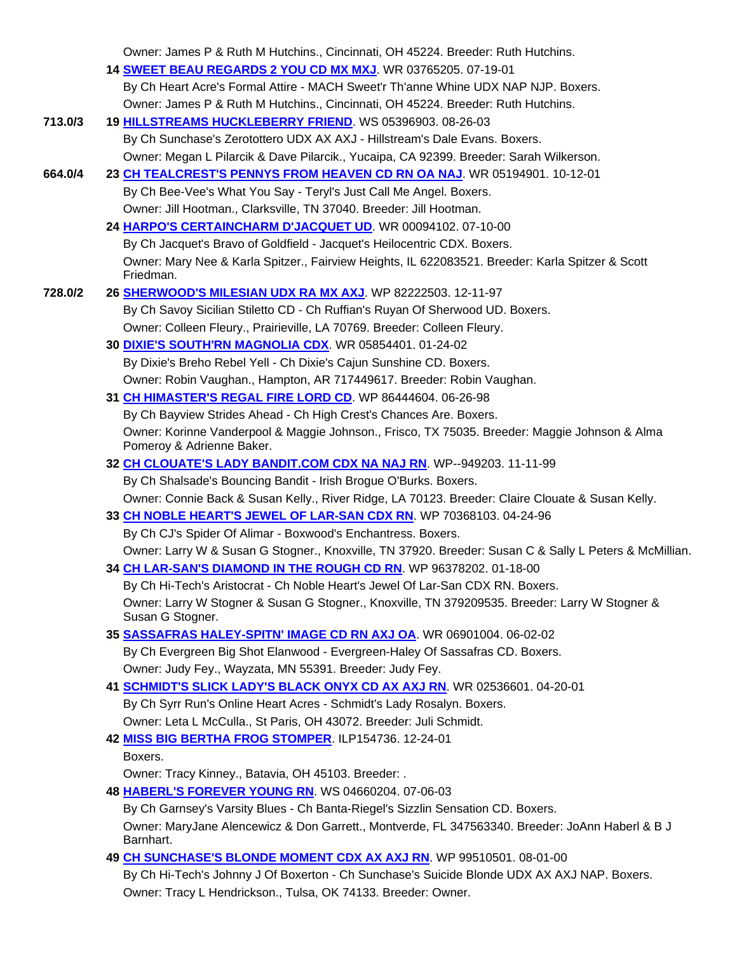|         | Owner: James P & Ruth M Hutchins., Cincinnati, OH 45224. Breeder: Ruth Hutchins.                                           |
|---------|----------------------------------------------------------------------------------------------------------------------------|
|         | 14 SWEET BEAU REGARDS 2 YOU CD MX MXJ. WR 03765205. 07-19-01                                                               |
|         | By Ch Heart Acre's Formal Attire - MACH Sweet'r Th'anne Whine UDX NAP NJP. Boxers.                                         |
|         | Owner: James P & Ruth M Hutchins., Cincinnati, OH 45224. Breeder: Ruth Hutchins.                                           |
| 713.0/3 | 19 HILLSTREAMS HUCKLEBERRY FRIEND. WS 05396903. 08-26-03                                                                   |
|         | By Ch Sunchase's Zerotottero UDX AX AXJ - Hillstream's Dale Evans. Boxers.                                                 |
|         | Owner: Megan L Pilarcik & Dave Pilarcik., Yucaipa, CA 92399. Breeder: Sarah Wilkerson.                                     |
| 664.0/4 | 23 CH TEALCREST'S PENNYS FROM HEAVEN CD RN OA NAJ. WR 05194901. 10-12-01                                                   |
|         | By Ch Bee-Vee's What You Say - Teryl's Just Call Me Angel. Boxers.                                                         |
|         | Owner: Jill Hootman., Clarksville, TN 37040. Breeder: Jill Hootman.                                                        |
|         | 24 HARPO'S CERTAINCHARM D'JACQUET UD. WR 00094102.07-10-00                                                                 |
|         | By Ch Jacquet's Bravo of Goldfield - Jacquet's Heilocentric CDX. Boxers.                                                   |
|         | Owner: Mary Nee & Karla Spitzer., Fairview Heights, IL 622083521. Breeder: Karla Spitzer & Scott<br>Friedman.              |
| 728.0/2 | 26 SHERWOOD'S MILESIAN UDX RA MX AXJ WP 82222503. 12-11-97                                                                 |
|         | By Ch Savoy Sicilian Stiletto CD - Ch Ruffian's Ruyan Of Sherwood UD. Boxers.                                              |
|         | Owner: Colleen Fleury., Prairieville, LA 70769. Breeder: Colleen Fleury.                                                   |
|         | 30 DIXIE'S SOUTH'RN MAGNOLIA CDX. WR 05854401. 01-24-02                                                                    |
|         | By Dixie's Breho Rebel Yell - Ch Dixie's Cajun Sunshine CD. Boxers.                                                        |
|         | Owner: Robin Vaughan., Hampton, AR 717449617. Breeder: Robin Vaughan.                                                      |
|         | 31 CH HIMASTER'S REGAL FIRE LORD CD. WP 86444604. 06-26-98                                                                 |
|         | By Ch Bayview Strides Ahead - Ch High Crest's Chances Are. Boxers.                                                         |
|         | Owner: Korinne Vanderpool & Maggie Johnson., Frisco, TX 75035. Breeder: Maggie Johnson & Alma<br>Pomeroy & Adrienne Baker. |
|         | 32 CH CLOUATE'S LADY BANDIT.COM CDX NA NAJ RN. WP--949203. 11-11-99                                                        |
|         | By Ch Shalsade's Bouncing Bandit - Irish Brogue O'Burks. Boxers.                                                           |
|         | Owner: Connie Back & Susan Kelly., River Ridge, LA 70123. Breeder: Claire Clouate & Susan Kelly.                           |
|         | 33 CH NOBLE HEART'S JEWEL OF LAR-SAN CDX RN. WP 70368103. 04-24-96                                                         |
|         | By Ch CJ's Spider Of Alimar - Boxwood's Enchantress. Boxers.                                                               |
|         | Owner: Larry W & Susan G Stogner., Knoxville, TN 37920. Breeder: Susan C & Sally L Peters & McMillian.                     |
|         | 34 CH LAR-SAN'S DIAMOND IN THE ROUGH CD RN. WP 96378202. 01-18-00                                                          |
|         | By Ch Hi-Tech's Aristocrat - Ch Noble Heart's Jewel Of Lar-San CDX RN. Boxers.                                             |
|         | Owner: Larry W Stogner & Susan G Stogner., Knoxville, TN 379209535. Breeder: Larry W Stogner &                             |
|         | Susan G Stogner.                                                                                                           |
|         | 35 SASSAFRAS HALEY-SPITN' IMAGE CD RN AXJ OA. WR 06901004. 06-02-02                                                        |
|         | By Ch Evergreen Big Shot Elanwood - Evergreen-Haley Of Sassafras CD. Boxers.                                               |
|         | Owner: Judy Fey., Wayzata, MN 55391. Breeder: Judy Fey.                                                                    |
|         | 41 SCHMIDT'S SLICK LADY'S BLACK ONYX CD AX AXJ RN. WR 02536601. 04-20-01                                                   |
|         | By Ch Syrr Run's Online Heart Acres - Schmidt's Lady Rosalyn. Boxers.                                                      |
|         | Owner: Leta L McCulla., St Paris, OH 43072. Breeder: Juli Schmidt.                                                         |
|         | 42 MISS BIG BERTHA FROG STOMPER. ILP154736. 12-24-01                                                                       |
|         | Boxers.                                                                                                                    |
|         | Owner: Tracy Kinney., Batavia, OH 45103. Breeder: .                                                                        |
|         | 48 HABERL'S FOREVER YOUNG RN. WS 04660204. 07-06-03                                                                        |
|         | By Ch Garnsey's Varsity Blues - Ch Banta-Riegel's Sizzlin Sensation CD. Boxers.                                            |
|         | Owner: MaryJane Alencewicz & Don Garrett., Montverde, FL 347563340. Breeder: JoAnn Haberl & B J<br>Barnhart.               |
|         | 49 CH SUNCHASE'S BLONDE MOMENT CDX AX AXJ RN. WP 99510501. 08-01-00                                                        |
|         | By Ch Hi-Tech's Johnny J Of Boxerton - Ch Sunchase's Suicide Blonde UDX AX AXJ NAP. Boxers.                                |
|         | Owner: Tracy L Hendrickson., Tulsa, OK 74133. Breeder: Owner.                                                              |